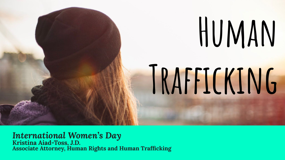

### *International Women's Day*

**Kristina Aiad-Toss, J.D. Associate Attorney, Human Rights and Human Trafficking**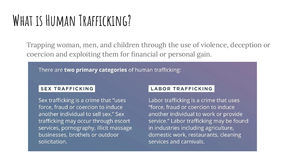### **What is Human Trafficking?**

Trapping woman, men, and children through the use of violence, deception or coercion and exploiting them for financial or personal gain.

There are **two primary categories** of human trafficking:

#### **SEX TRAFFICKING**

Sex trafficking is a crime that "uses" force, fraud or coercion to induce another individual to sell sex." Sex trafficking may occur through escort services, pornography, illicit massage businesses, brothels or outdoor solicitation.

#### **LABOR TRAFFICKING**

Labor trafficking is a crime that uses "force, fraud or coercion to induce another individual to work or provide service." Labor trafficking may be found in industries including agriculture, domestic work, restaurants, cleaning services and carnivals.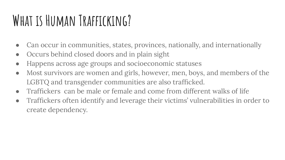### **What is Human Trafficking?**

- Can occur in communities, states, provinces, nationally, and internationally
- Occurs behind closed doors and in plain sight
- Happens across age groups and socioeconomic statuses
- Most survivors are women and girls, however, men, boys, and members of the LGBTQ and transgender communities are also trafficked.
- Traffickers can be male or female and come from different walks of life
- Traffickers often identify and leverage their victims' vulnerabilities in order to create dependency.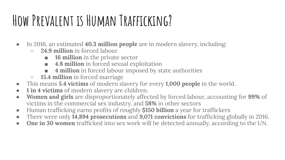# **How Prevalent is Human Trafficking?**

- In 2016, an estimated **40.3 million people** are in modern slavery, including:
	- **○ 24.9 million** in forced labour
		- **16 million** in the private sector
		- **4.8 million** in forced sexual exploitation
		- **■ 4 million** in forced labour imposed by state authorities
	- **○ 15.4 million** in forced marriage
- This means **5.4 victims** of modern slavery for every **1,000 people** in the world.
- **● 1 in 4 victims** of modern slavery are children.
- **● Women and girls** are disproportionately affected by forced labour, accounting for **99%** of victims in the commercial sex industry, and **58%** in other sectors
- Human trafficking earns profits of roughly **\$150 billion** a year for traffickers
- There were only **14,894 prosecutions** and **9,071 convictions** for trafficking globally in 2016.
- **● One in 30 women** trafficked into sex work will be detected annually, according to the UN.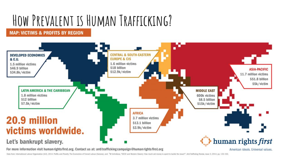# **How Prevalent is Human Trafficking?**

#### **MAP: VICTIMS & PROFITS BY REGION**



For more information visit human rights first.org. Contact us at: antitrafficking campaign@human rights first.org

American ideals, Universal values,

Data from: International Labour Organization (ILO), 2014. Profits and Poverty: The Economics of Forced Labour (Geneva), and NUchnikova, "OECD and Modern Slavery: How much aid money is spent to tackle the issue?", Anti-Traf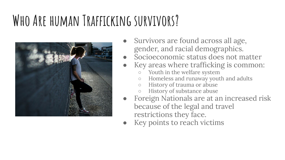# **Who Are human Trafficking survivors?**



- Survivors are found across all age, gender, and racial demographics.
- Socioeconomic status does not matter
- Key areas where trafficking is common:
	- Youth in the welfare system
	- Homeless and runaway youth and adults
	- History of trauma or abuse
	- History of substance abuse
- **Foreign Nationals are at an increased risk** because of the legal and travel restrictions they face.
- Key points to reach victims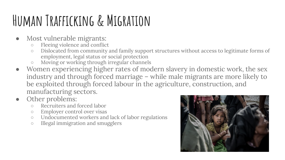# **Human Trafficking & Migration**

- Most vulnerable migrants:
	- Fleeing violence and conflict
	- Dislocated from community and family support structures without access to legitimate forms of employment, legal status or social protection
	- Moving or working through irregular channels
- Women experiencing higher rates of modern slavery in domestic work, the sex industry and through forced marriage – while male migrants are more likely to be exploited through forced labour in the agriculture, construction, and manufacturing sectors.
- Other problems:
	- Recruiters and forced labor
	- Employer control over visas
	- Undocumented workers and lack of labor regulations
	- Illegal immigration and smugglers

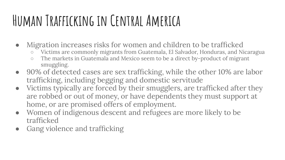# **Human Trafficking in Central America**

- Migration increases risks for women and children to be trafficked
	- Victims are commonly migrants from Guatemala, El Salvador, Honduras, and Nicaragua
	- The markets in Guatemala and Mexico seem to be a direct by-product of migrant smuggling.
- 90% of detected cases are sex trafficking, while the other 10% are labor trafficking, including begging and domestic servitude
- Victims typically are forced by their smugglers, are trafficked after they are robbed or out of money, or have dependents they must support at home, or are promised offers of employment.
- Women of indigenous descent and refugees are more likely to be trafficked
- Gang violence and trafficking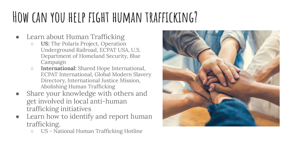### **How can you help fight human trafficking?**

- **Learn about Human Trafficking** 
	- **○ US:** The Polaris Project, Operation Underground Railroad, ECPAT USA, U.S. Department of Homeland Security, Blue Campaign
	- **○ International:** Shared Hope International, ECPAT International, Global Modern Slavery Directory, International Justice Mission, Abolishing Human Trafficking
- Share your knowledge with others and get involved in local anti-human trafficking initiatives
- Learn how to identify and report human trafficking.
	- US National Human Trafficking Hotline